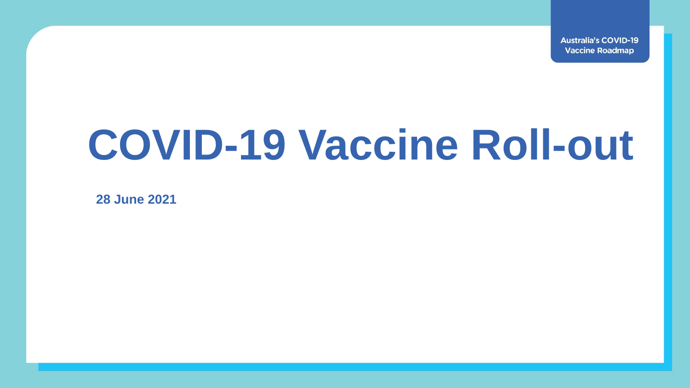**Australia's COVID-19 Vaccine Roadmap** 

# **COVID-19 Vaccine Roll-out**

**28 June 2021**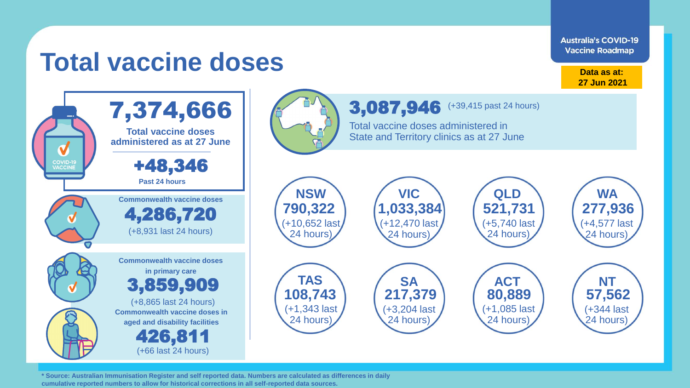**Australia's COVID-19 Vaccine Roadmap** 

# **Total vaccine doses**

**Data as at: 27 Jun 2021**



**\* Source: Australian Immunisation Register and self reported data. Numbers are calculated as differences in daily cumulative reported numbers to allow for historical corrections in all self-reported data sources.**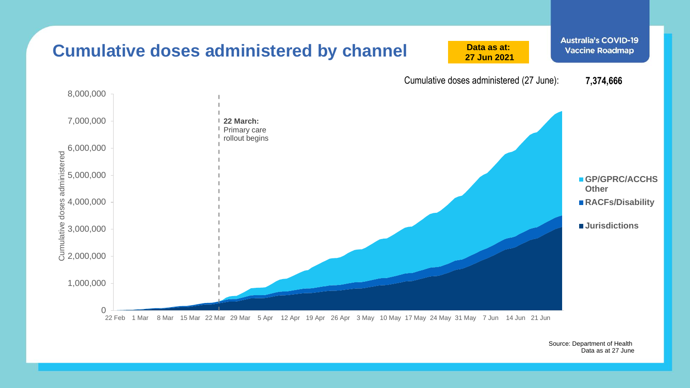

Source: Department of Health Data as at 27 June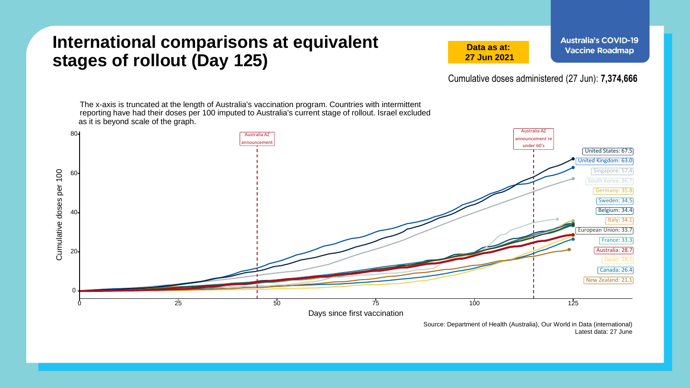### **International comparisons at equivalent stages of rollout (Day 125)**

**Data as at: 27 Jun 2021** **Australia's COVID-19 Vaccine Roadmap** 

Cumulative doses administered (27 Jun): **7,374,666**

The x-axis is truncated at the length of Australia's vaccination program. Countries with intermittent reporting have had their doses per 100 imputed to Australia's current stage of rollout. Israel excluded as it is beyond scale of the graph.



Source: Department of Health (Australia), Our World in Data (international) Latest data: 27 June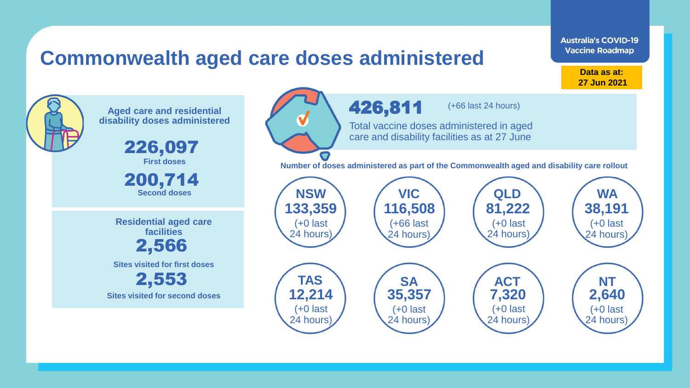### **Commonwealth aged care doses administered**

**Data as at: Data as at: 18 Apr 2021 27 Jun 2021**

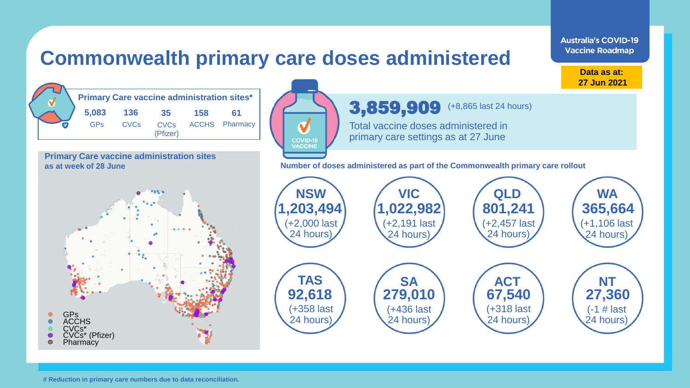#### **Australia's COVID-19 Vaccine Roadmap Commonwealth primary care doses administered Data as at: 27 Jun 2021 Primary Care vaccine administration sites\*** 3,859,909 (+8,865 last 24 hours)**5,083 136 35 158 61** GPs CVCs ACCHS **CVCs Pharmacy** Total vaccine doses administered in (Pfizer) primary care settings as at 27 June **COVID-19**<br>VACCINE **Primary Care vaccine administration sites as at week of 28 June Number of doses administered as part of the Commonwealth primary care rollout NSW VIC QLD WA 1,203,494 1,022,982 801,241 365,664** (+2,000 last (+2,191 last (+2,457 last (+1,106 last 24 hours) 24 hours) 24 hours) 24 hours) **TAS SA ACT NT 92,618 279,010 67,540 27,360** (+358 last (+436 last (+318 last (-1 # last GPs 24 hours) 24 hours) 24 hours) 24 hours) **ACCHS** CVCs\*  $\bullet$ CVCs\* (Pfizer)  $\bigcirc$ Pharmacy

**# Reduction in primary care numbers due to data reconciliation.**